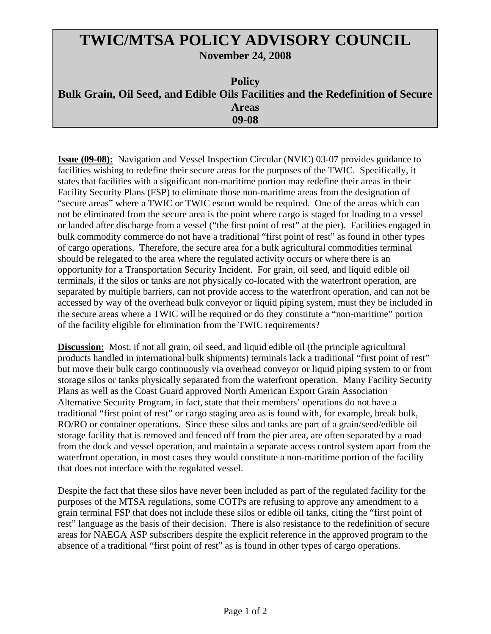## **TWIC/MTSA POLICY ADVISORY COUNCIL November 24, 2008**

| <b>Policy</b>                                                                   |
|---------------------------------------------------------------------------------|
| Bulk Grain, Oil Seed, and Edible Oils Facilities and the Redefinition of Secure |
| <b>Areas</b>                                                                    |
| 09-08                                                                           |

**Issue (09-08):** Navigation and Vessel Inspection Circular (NVIC) 03-07 provides guidance to facilities wishing to redefine their secure areas for the purposes of the TWIC. Specifically, it states that facilities with a significant non-maritime portion may redefine their areas in their Facility Security Plans (FSP) to eliminate those non-maritime areas from the designation of "secure areas" where a TWIC or TWIC escort would be required. One of the areas which can not be eliminated from the secure area is the point where cargo is staged for loading to a vessel or landed after discharge from a vessel ("the first point of rest" at the pier). Facilities engaged in bulk commodity commerce do not have a traditional "first point of rest" as found in other types of cargo operations. Therefore, the secure area for a bulk agricultural commodities terminal should be relegated to the area where the regulated activity occurs or where there is an opportunity for a Transportation Security Incident. For grain, oil seed, and liquid edible oil terminals, if the silos or tanks are not physically co-located with the waterfront operation, are separated by multiple barriers, can not provide access to the waterfront operation, and can not be accessed by way of the overhead bulk conveyor or liquid piping system, must they be included in the secure areas where a TWIC will be required or do they constitute a "non-maritime" portion of the facility eligible for elimination from the TWIC requirements?

**Discussion:** Most, if not all grain, oil seed, and liquid edible oil (the principle agricultural products handled in international bulk shipments) terminals lack a traditional "first point of rest" but move their bulk cargo continuously via overhead conveyor or liquid piping system to or from storage silos or tanks physically separated from the waterfront operation. Many Facility Security Plans as well as the Coast Guard approved North American Export Grain Association Alternative Security Program, in fact, state that their members' operations do not have a traditional "first point of rest" or cargo staging area as is found with, for example, break bulk, RO/RO or container operations. Since these silos and tanks are part of a grain/seed/edible oil storage facility that is removed and fenced off from the pier area, are often separated by a road from the dock and vessel operation, and maintain a separate access control system apart from the waterfront operation, in most cases they would constitute a non-maritime portion of the facility that does not interface with the regulated vessel.

Despite the fact that these silos have never been included as part of the regulated facility for the purposes of the MTSA regulations, some COTPs are refusing to approve any amendment to a grain terminal FSP that does not include these silos or edible oil tanks, citing the "first point of rest" language as the basis of their decision. There is also resistance to the redefinition of secure areas for NAEGA ASP subscribers despite the explicit reference in the approved program to the absence of a traditional "first point of rest" as is found in other types of cargo operations.